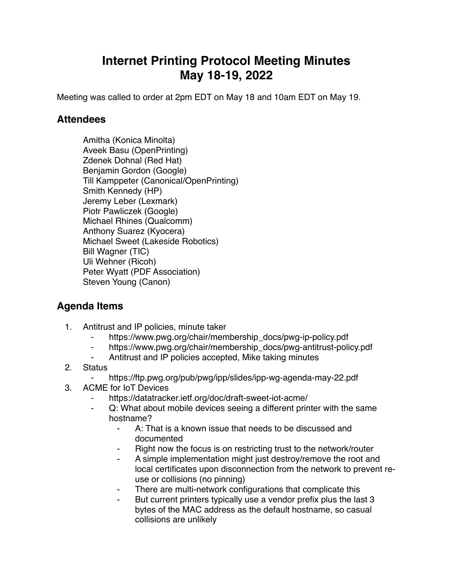## **Internet Printing Protocol Meeting Minutes May 18-19, 2022**

Meeting was called to order at 2pm EDT on May 18 and 10am EDT on May 19.

## **Attendees**

Amitha (Konica Minolta) Aveek Basu (OpenPrinting) Zdenek Dohnal (Red Hat) Benjamin Gordon (Google) Till Kamppeter (Canonical/OpenPrinting) Smith Kennedy (HP) Jeremy Leber (Lexmark) Piotr Pawliczek (Google) Michael Rhines (Qualcomm) Anthony Suarez (Kyocera) Michael Sweet (Lakeside Robotics) Bill Wagner (TIC) Uli Wehner (Ricoh) Peter Wyatt (PDF Association) Steven Young (Canon)

## **Agenda Items**

- 1. Antitrust and IP policies, minute taker
	- https://www.pwg.org/chair/membership\_docs/pwg-ip-policy.pdf
	- ⁃ https://www.pwg.org/chair/membership\_docs/pwg-antitrust-policy.pdf
	- Antitrust and IP policies accepted, Mike taking minutes
- 2. Status
	- https://ftp.pwg.org/pub/pwg/ipp/slides/ipp-wg-agenda-may-22.pdf
- 3. ACME for IoT Devices
	- https://datatracker.ietf.org/doc/draft-sweet-iot-acme/
	- ⁃ Q: What about mobile devices seeing a different printer with the same hostname?
		- A: That is a known issue that needs to be discussed and documented
		- Right now the focus is on restricting trust to the network/router
		- A simple implementation might just destroy/remove the root and local certificates upon disconnection from the network to prevent reuse or collisions (no pinning)
		- There are multi-network configurations that complicate this
		- But current printers typically use a vendor prefix plus the last 3 bytes of the MAC address as the default hostname, so casual collisions are unlikely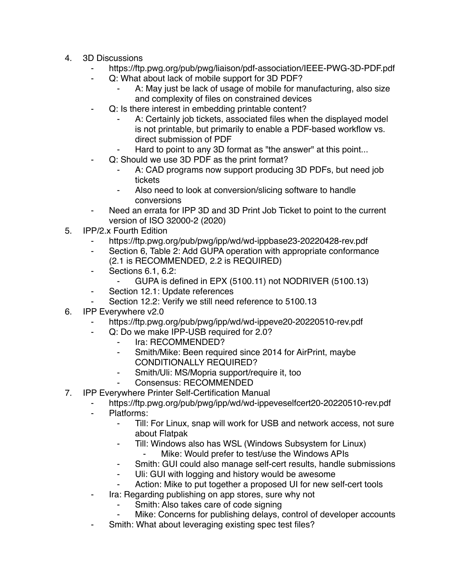- 4. 3D Discussions
	- https://ftp.pwg.org/pub/pwg/liaison/pdf-association/IEEE-PWG-3D-PDF.pdf
	- Q: What about lack of mobile support for 3D PDF?
		- A: May just be lack of usage of mobile for manufacturing, also size and complexity of files on constrained devices
	- Q: Is there interest in embedding printable content?
		- A: Certainly job tickets, associated files when the displayed model is not printable, but primarily to enable a PDF-based workflow vs. direct submission of PDF
		- Hard to point to any 3D format as "the answer" at this point...
	- Q: Should we use 3D PDF as the print format?
		- A: CAD programs now support producing 3D PDFs, but need job tickets
		- ⁃ Also need to look at conversion/slicing software to handle conversions
	- Need an errata for IPP 3D and 3D Print Job Ticket to point to the current version of ISO 32000-2 (2020)
- 5. IPP/2.x Fourth Edition
	- https://ftp.pwg.org/pub/pwg/ipp/wd/wd-ippbase23-20220428-rev.pdf
	- ⁃ Section 6, Table 2: Add GUPA operation with appropriate conformance (2.1 is RECOMMENDED, 2.2 is REQUIRED)
	- ⁃ Sections 6.1, 6.2:
		- GUPA is defined in EPX (5100.11) not NODRIVER (5100.13)
	- Section 12.1: Update references
	- Section 12.2: Verify we still need reference to 5100.13
- 6. IPP Everywhere v2.0
	- https://ftp.pwg.org/pub/pwg/ipp/wd/wd-ippeve20-20220510-rev.pdf
	- Q: Do we make IPP-USB required for 2.0?
		- ⁃ Ira: RECOMMENDED?
		- Smith/Mike: Been required since 2014 for AirPrint, maybe CONDITIONALLY REQUIRED?
		- ⁃ Smith/Uli: MS/Mopria support/require it, too
			- Consensus: RECOMMENDED
- 7. IPP Everywhere Printer Self-Certification Manual
	- https://ftp.pwg.org/pub/pwg/ipp/wd/wd-ippeveselfcert20-20220510-rev.pdf
	- Platforms:
		- ⁃ Till: For Linux, snap will work for USB and network access, not sure about Flatpak
		- ⁃ Till: Windows also has WSL (Windows Subsystem for Linux)
			- Mike: Would prefer to test/use the Windows APIs
		- ⁃ Smith: GUI could also manage self-cert results, handle submissions
		- ⁃ Uli: GUI with logging and history would be awesome
		- Action: Mike to put together a proposed UI for new self-cert tools
	- Ira: Regarding publishing on app stores, sure why not
		- Smith: Also takes care of code signing
		- Mike: Concerns for publishing delays, control of developer accounts
	- Smith: What about leveraging existing spec test files?